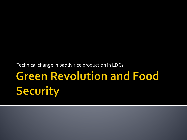Technical change in paddy rice production in LDCs

## Green Revolution and Food<br>Security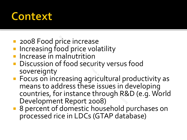#### **Context**

- **2008 Food price increase**
- **Increasing food price volatility**
- **Increase in malnutrition**
- **Discussion of food security versus food** sovereignty
- **Focus on increasing agricultural productivity as** means to address these issues in developing countries, for instance through R&D (e.g. World Development Report 2008) rice increase<br>
pod price volatility<br>
nalnutrition<br>
f food security versus<br>
reasing agricultural pr<br>
dress these issues in d<br>
r instance through R&<br>
nt Report 2008)
- 8 percent of domestic household purchases on processed rice in LDCs (GTAP database)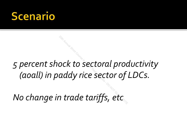#### cenario

### *5 percent shock to sectoral productivity (aoall) in paddy rice sector of LDCs.* <sup>3,</sup><br>20th to sectoral prod<br>addy rice sector of<br>20th analysis - Do North Course<br>20th Course in Guote<br>20th Course - DO NOT QUOTE, 20th<br>20th Course - DO NOT QUOTE, 20th QUOTE, 20th Course in Trade tariffs, 21th Quand

*No change in trade tariffs, etc*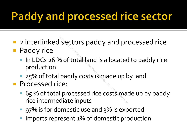#### **Paddy and processed rice sector**

- **2** interlinked sectors paddy and processed rice **Paddy rice** Exectors paddy and protocours and provided and provided and selection<br>and Course is made up to the Course of the Course of the Course of Processed rice costs made<br>diate inputs
	- In LDCs 26 % of total land is allocated to paddy rice production
	- **25% of total paddy costs is made up by land**
- **Processed rice:** 
	- 65 % of total processed rice costs made up by paddy rice intermediate inputs
	- **97%** is for domestic use and 3% is exported
	- Imports represent 1% of domestic production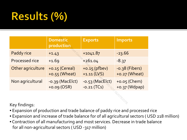#### Results (%)

|                                            | <b>Domestic</b><br>production       | <b>Exports</b>                     | <b>Imports</b>                    |
|--------------------------------------------|-------------------------------------|------------------------------------|-----------------------------------|
| Paddy rice                                 | $+1.43$                             | $+1041.87$                         | $-23.66$                          |
| Processed rice                             | $+1.69$                             | 4261.04                            | $-8.37$                           |
| Other agriculture                          | $+0.15$ (Cereal)<br>$+0.55$ (Wheat) | $+0.15$ (pfbev)<br>$+1.11$ (LVS)   | $-0.38$ (Fibers)<br>+0.27 (Wheat) |
| Non agricultural                           | $-0.39$ (MacElct)<br>$+0.09 (OSR)$  | $-0.53$ (MacElct)<br>$-0.21$ (TCs) | +0.05 (Chem)<br>+0.37 (Wdpap)     |
| $1/\sqrt{2}$ , $\sqrt{2}$ ; and $\sqrt{2}$ |                                     |                                    |                                   |

Key findings:

- Expansion of production and trade balance of paddy rice and processed rice
- Expansion and increase of trade balance for of all agricultural sectors ( USD 218 million)
- Contraction of all manufacturing and most services. Decrease in trade balance for all non-agricultural sectors ( USD -317 million)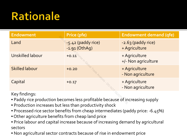#### **Rationale**

| <b>Endowment</b>                                                                              | <b>Price (pfe)</b>                     | <b>Endowment demand (qfe)</b>        |  |  |
|-----------------------------------------------------------------------------------------------|----------------------------------------|--------------------------------------|--|--|
| Land                                                                                          | $5.42$ (paddy rice)<br>$-1.91$ (OthAg) | -2.63 (paddy rice)<br>+ Agriculture  |  |  |
| Unskilled labour                                                                              | $+0.11$                                | + Agriculture<br>+/- Non agriculture |  |  |
| <b>Skilled labour</b>                                                                         | $+0.20$                                | + Agriculture<br>- Non agriculture   |  |  |
| Capital                                                                                       | $+0.17$                                | + Agriculture<br>- Non agriculture   |  |  |
| Key findings:<br>• Paddy rice production becomes less profitable because of increasing supply |                                        |                                      |  |  |

- Paddy rice production becomes less profitable because of increasing supply
- Production increases but less than productivity shock
- Processed rice sector benefits from cheap intermediates (paddy price: -6.45%)
- Other agriculture benefits from cheap land price
- Price labour and capital increase because of increasing demand by agricultural sectors
- Non agricultural sector contracts because of rise in endowment price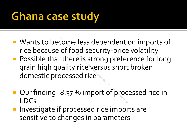#### **Ghana case study**

- **Wants to become less dependent on imports of** rice because of food security-price volatility
- **Possible that there is strong preference for long** grain high quality rice versus short broken domestic processed rice 20 come less dependent<br>20 of food security-price<br>20th Annual Short<br>20th Annualysis Short<br>2011<br>2013 - Po Monder Contes<br>2013 - Analysis Analysis Short<br>2013 - Analysis Short<br>2013 - Analysis Short
- Our finding -8.37 % import of processed rice in LDCs
- **Investigate if processed rice imports are** sensitive to changes in parameters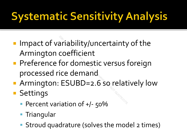#### **Systematic Sensitivity Analysis**

- **Impact of variability/uncertainty of the** Armington coefficient
- **Preference for domestic versus foreign** processed rice demand Priability/uncertainty<br>
2002<br>
2002<br>
2008 Course ice demand<br>
2008 Contrigo Catalogy<br>
2008
- Armington: ESUBD=2.6 so relatively low
- **Settings** 
	- Percent variation of +/- 50%
	- **Triangular**
	- **Stroud quadrature (solves the model 2 times)**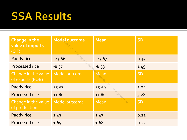#### **SSA Results**

| <b>Change in the</b><br>value of imports<br>(CIF) | <b>Model outcome</b> | <b>Mean</b> | <b>SD</b> |
|---------------------------------------------------|----------------------|-------------|-----------|
| Paddy rice                                        | $-23.66$             | $-23.67$    | 0.35      |
| Processed rice                                    | $-8.37$              | $-8.33$     | 1.49      |
| Change in the value<br>of exports (FOB)           | Model outcome        | Mean        | <b>SD</b> |
| Paddy rice                                        | 55.57                | 55.59       | 1.04      |
| <b>Processed rice</b>                             | 11.80                | 11.80       | 3.28      |
| Change in the value<br>of production              | Model outcome        | <b>Mean</b> | <b>SD</b> |
| Paddy rice                                        | 1.43                 | 1.43        | 0.21      |
| Processed rice                                    | 1.69                 | 1.68        | 0.25      |